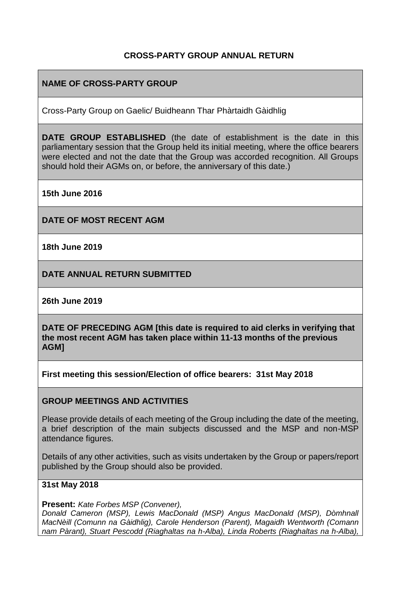## **CROSS-PARTY GROUP ANNUAL RETURN**

# **NAME OF CROSS-PARTY GROUP**

Cross-Party Group on Gaelic/ Buidheann Thar Phàrtaidh Gàidhlig

**DATE GROUP ESTABLISHED** (the date of establishment is the date in this parliamentary session that the Group held its initial meeting, where the office bearers were elected and not the date that the Group was accorded recognition. All Groups should hold their AGMs on, or before, the anniversary of this date.)

**15th June 2016**

**DATE OF MOST RECENT AGM**

**18th June 2019**

**DATE ANNUAL RETURN SUBMITTED**

**26th June 2019**

**DATE OF PRECEDING AGM [this date is required to aid clerks in verifying that the most recent AGM has taken place within 11-13 months of the previous AGM]**

**First meeting this session/Election of office bearers: 31st May 2018**

### **GROUP MEETINGS AND ACTIVITIES**

Please provide details of each meeting of the Group including the date of the meeting, a brief description of the main subjects discussed and the MSP and non-MSP attendance figures.

Details of any other activities, such as visits undertaken by the Group or papers/report published by the Group should also be provided.

### **31st May 2018**

**Present:** *Kate Forbes MSP (Convener),* 

*Donald Cameron (MSP), Lewis MacDonald (MSP) Angus MacDonald (MSP), Dòmhnall MacNèill (Comunn na Gàidhlig), Carole Henderson (Parent), Magaidh Wentworth (Comann nam Pàrant), Stuart Pescodd (Riaghaltas na h-Alba), Linda Roberts (Riaghaltas na h-Alba),*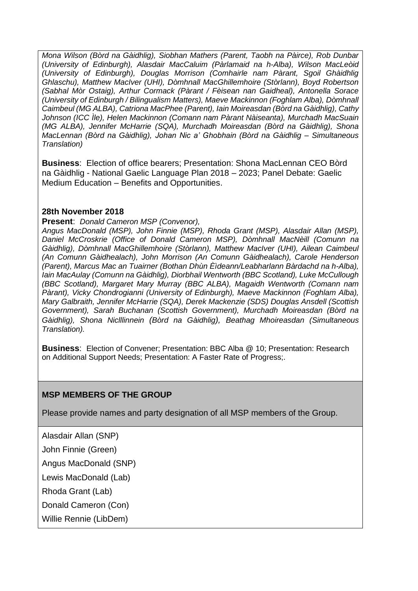*Mona Wilson (Bòrd na Gàidhlig), Siobhan Mathers (Parent, Taobh na Pàirce), Rob Dunbar (University of Edinburgh), Alasdair MacCaluim (Pàrlamaid na h-Alba), Wilson MacLeòid (University of Edinburgh), Douglas Morrison (Comhairle nam Pàrant, Sgoil Ghàidhlig Ghlaschu), Matthew MacIver (UHI), Dòmhnall MacGhillemhoire (Stòrlann), Boyd Robertson (Sabhal Mòr Ostaig), Arthur Cormack (Pàrant / Fèisean nan Gaidheal), Antonella Sorace (University of Edinburgh / Bilingualism Matters), Maeve Mackinnon (Foghlam Alba), Dòmhnall Caimbeul (MG ALBA), Catriona MacPhee (Parent), Iain Moireasdan (Bòrd na Gàidhlig), Cathy Johnson (ICC Ìle), Helen Mackinnon (Comann nam Pàrant Nàiseanta), Murchadh MacSuain (MG ALBA), Jennifer McHarrie (SQA), Murchadh Moireasdan (Bòrd na Gàidhlig), Shona MacLennan (Bòrd na Gàidhlig), Johan Nic a' Ghobhain (Bòrd na Gàidhlig – Simultaneous Translation)*

**Business**: Election of office bearers; Presentation: Shona MacLennan CEO Bòrd na Gàidhlig - National Gaelic Language Plan 2018 – 2023; Panel Debate: Gaelic Medium Education – Benefits and Opportunities.

### **28th November 2018**

#### **Present**: *Donald Cameron MSP (Convenor),*

*Angus MacDonald (MSP), John Finnie (MSP), Rhoda Grant (MSP), Alasdair Allan (MSP), Daniel McCroskrie (Office of Donald Cameron MSP), Dòmhnall MacNèill (Comunn na Gàidhlig), Dòmhnall MacGhillemhoire (Stòrlann), Matthew MacIver (UHI), Ailean Caimbeul (An Comunn Gàidhealach), John Morrison (An Comunn Gàidhealach), Carole Henderson (Parent), Marcus Mac an Tuairner (Bothan Dhùn Èìdeann/Leabharlann Bàrdachd na h-Alba), Iain MacAulay (Comunn na Gàidhlig), Diorbhail Wentworth (BBC Scotland), Luke McCullough (BBC Scotland), Margaret Mary Murray (BBC ALBA), Magaidh Wentworth (Comann nam Pàrant), Vicky Chondrogianni (University of Edinburgh), Maeve Mackinnon (Foghlam Alba), Mary Galbraith, Jennifer McHarrie (SQA), Derek Mackenzie (SDS) Douglas Ansdell (Scottish Government), Sarah Buchanan (Scottish Government), Murchadh Moireasdan (Bòrd na Gàidhlig), Shona Niclllinnein (Bòrd na Gàidhlig), Beathag Mhoireasdan (Simultaneous Translation).* 

**Business**: Election of Convener; Presentation: BBC Alba @ 10; Presentation: Research on Additional Support Needs; Presentation: A Faster Rate of Progress;.

### **MSP MEMBERS OF THE GROUP**

Please provide names and party designation of all MSP members of the Group.

Alasdair Allan (SNP)

John Finnie (Green)

Angus MacDonald (SNP)

Lewis MacDonald (Lab)

Rhoda Grant (Lab)

Donald Cameron (Con)

Willie Rennie (LibDem)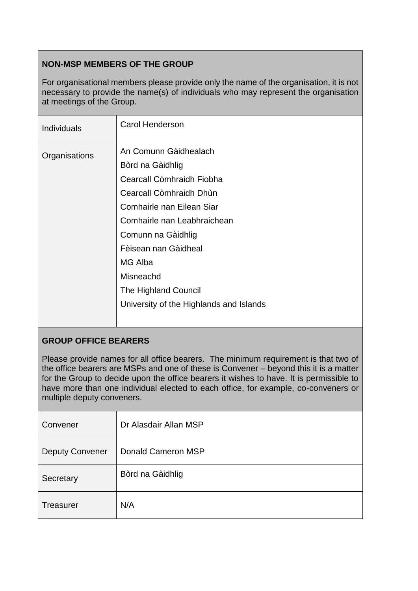# **NON-MSP MEMBERS OF THE GROUP**

For organisational members please provide only the name of the organisation, it is not necessary to provide the name(s) of individuals who may represent the organisation at meetings of the Group.

| <b>Individuals</b> | <b>Carol Henderson</b>                                                                                                                                                                                                 |
|--------------------|------------------------------------------------------------------------------------------------------------------------------------------------------------------------------------------------------------------------|
| Organisations      | An Comunn Gàidhealach<br>Bòrd na Gàidhlig<br>Cearcall Còmhraidh Fiobha<br>Cearcall Còmhraidh Dhùn<br>Comhairle nan Eilean Siar<br>Comhairle nan Leabhraichean<br>Comunn na Gàidhlig<br>Fèisean nan Gàidheal<br>MG Alba |
|                    | Misneachd                                                                                                                                                                                                              |
|                    | The Highland Council                                                                                                                                                                                                   |
|                    | University of the Highlands and Islands                                                                                                                                                                                |

## **GROUP OFFICE BEARERS**

Please provide names for all office bearers. The minimum requirement is that two of the office bearers are MSPs and one of these is Convener – beyond this it is a matter for the Group to decide upon the office bearers it wishes to have. It is permissible to have more than one individual elected to each office, for example, co-conveners or multiple deputy conveners.

| Convener               | Dr Alasdair Allan MSP |
|------------------------|-----------------------|
| <b>Deputy Convener</b> | Donald Cameron MSP    |
| Secretary              | Bòrd na Gàidhlig      |
| Treasurer              | N/A                   |